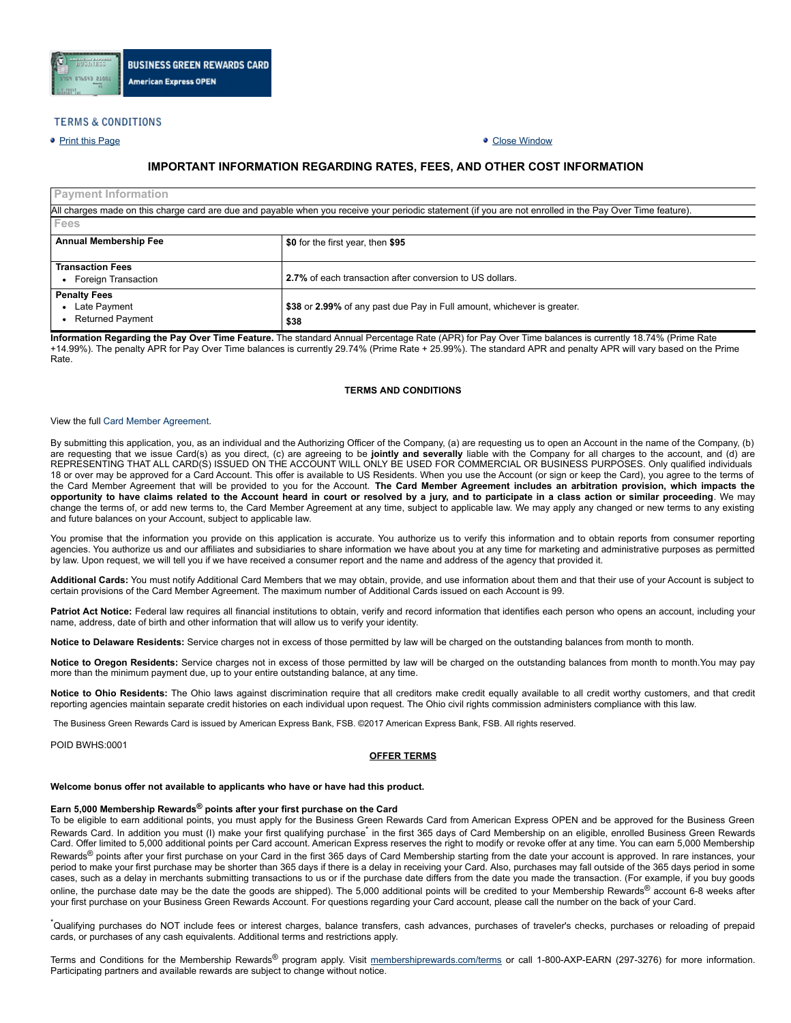

# **TERMS & CONDITIONS**

# ● Print this [Page](javascript:window.print()) Close [Window](javascript:window.close())

# **IMPORTANT INFORMATION REGARDING RATES, FEES, AND OTHER COST INFORMATION**

| <b>Payment Information</b>                                                                                                                                |                                                                         |  |  |  |  |  |  |
|-----------------------------------------------------------------------------------------------------------------------------------------------------------|-------------------------------------------------------------------------|--|--|--|--|--|--|
| All charges made on this charge card are due and payable when you receive your periodic statement (if you are not enrolled in the Pay Over Time feature). |                                                                         |  |  |  |  |  |  |
| Fees                                                                                                                                                      |                                                                         |  |  |  |  |  |  |
| <b>Annual Membership Fee</b>                                                                                                                              | \$0 for the first year, then \$95                                       |  |  |  |  |  |  |
|                                                                                                                                                           |                                                                         |  |  |  |  |  |  |
| <b>Transaction Fees</b>                                                                                                                                   |                                                                         |  |  |  |  |  |  |
| Foreign Transaction<br>$\bullet$                                                                                                                          | 2.7% of each transaction after conversion to US dollars.                |  |  |  |  |  |  |
| <b>Penalty Fees</b>                                                                                                                                       |                                                                         |  |  |  |  |  |  |
| Late Payment                                                                                                                                              | \$38 or 2.99% of any past due Pay in Full amount, whichever is greater. |  |  |  |  |  |  |
| <b>Returned Payment</b>                                                                                                                                   | \$38                                                                    |  |  |  |  |  |  |

**Information Regarding the Pay Over Time Feature.** The standard Annual Percentage Rate (APR) for Pay Over Time balances is currently 18.74% (Prime Rate +14.99%). The penalty APR for Pay Over Time balances is currently 29.74% (Prime Rate + 25.99%). The standard APR and penalty APR will vary based on the Prime Rate.

# **TERMS AND CONDITIONS**

#### View the full Card Member [Agreement.](https://www.americanexpress.com/us/content/cardmember-agreements/all-us.html)

By submitting this application, you, as an individual and the Authorizing Officer of the Company, (a) are requesting us to open an Account in the name of the Company, (b) are requesting that we issue Card(s) as you direct, (c) are agreeing to be **jointly and severally** liable with the Company for all charges to the account, and (d) are REPRESENTING THAT ALL CARD(S) ISSUED ON THE ACCOUNT WILL ONLY BE USED FOR COMMERCIAL OR BUSINESS PURPOSES. Only qualified individuals 18 or over may be approved for a Card Account. This offer is available to US Residents. When you use the Account (or sign or keep the Card), you agree to the terms of the Card Member Agreement that will be provided to you for the Account. The Card Member Agreement includes an arbitration provision, which impacts the opportunity to have claims related to the Account heard in court or resolved by a jury, and to participate in a class action or similar proceeding. We may change the terms of, or add new terms to, the Card Member Agreement at any time, subject to applicable law. We may apply any changed or new terms to any existing and future balances on your Account, subject to applicable law.

You promise that the information you provide on this application is accurate. You authorize us to verify this information and to obtain reports from consumer reporting agencies. You authorize us and our affiliates and subsidiaries to share information we have about you at any time for marketing and administrative purposes as permitted by law. Upon request, we will tell you if we have received a consumer report and the name and address of the agency that provided it.

**Additional Cards:** You must notify Additional Card Members that we may obtain, provide, and use information about them and that their use of your Account is subject to certain provisions of the Card Member Agreement. The maximum number of Additional Cards issued on each Account is 99.

Patriot Act Notice: Federal law requires all financial institutions to obtain, verify and record information that identifies each person who opens an account, including your name, address, date of birth and other information that will allow us to verify your identity.

**Notice to Delaware Residents:** Service charges not in excess of those permitted by law will be charged on the outstanding balances from month to month.

**Notice to Oregon Residents:** Service charges not in excess of those permitted by law will be charged on the outstanding balances from month to month.You may pay more than the minimum payment due, up to your entire outstanding balance, at any time.

**Notice to Ohio Residents:** The Ohio laws against discrimination require that all creditors make credit equally available to all credit worthy customers, and that credit reporting agencies maintain separate credit histories on each individual upon request. The Ohio civil rights commission administers compliance with this law.

The Business Green Rewards Card is issued by American Express Bank, FSB. ©2017 American Express Bank, FSB. All rights reserved.

POID BWHS:0001

# **OFFER TERMS**

# **Welcome bonus offer not available to applicants who have or have had this product.**

# **Earn 5,000 Membership Rewards® points after your first purchase on the Card**

To be eligible to earn additional points, you must apply for the Business Green Rewards Card from American Express OPEN and be approved for the Business Green Rewards Card. In addition you must (I) make your first qualifying purchase in the first 365 days of Card Membership on an eligible, enrolled Business Green Rewards Card. Offer limited to 5,000 additional points per Card account. American Express reserves the right to modify or revoke offer at any time. You can earn 5,000 Membership Rewards<sup>®</sup> points after your first purchase on your Card in the first 365 days of Card Membership starting from the date your account is approved. In rare instances, your period to make your first purchase may be shorter than 365 days if there is a delay in receiving your Card. Also, purchases may fall outside of the 365 days period in some cases, such as a delay in merchants submitting transactions to us or if the purchase date differs from the date you made the transaction. (For example, if you buy goods online, the purchase date may be the date the goods are shipped). The 5,000 additional points will be credited to your Membership Rewards<sup>®</sup> account 6-8 weeks after your first purchase on your Business Green Rewards Account. For questions regarding your Card account, please call the number on the back of your Card.

\*Qualifying purchases do NOT include fees or interest charges, balance transfers, cash advances, purchases of traveler's checks, purchases or reloading of prepaid cards, or purchases of any cash equivalents. Additional terms and restrictions apply.

Terms and Conditions for the Membership Rewards<sup>®</sup> program apply. Visit [membershiprewards.com/terms](http://www.membershiprewards.com/terms) or call 1-800-AXP-EARN (297-3276) for more information. Participating partners and available rewards are subject to change without notice.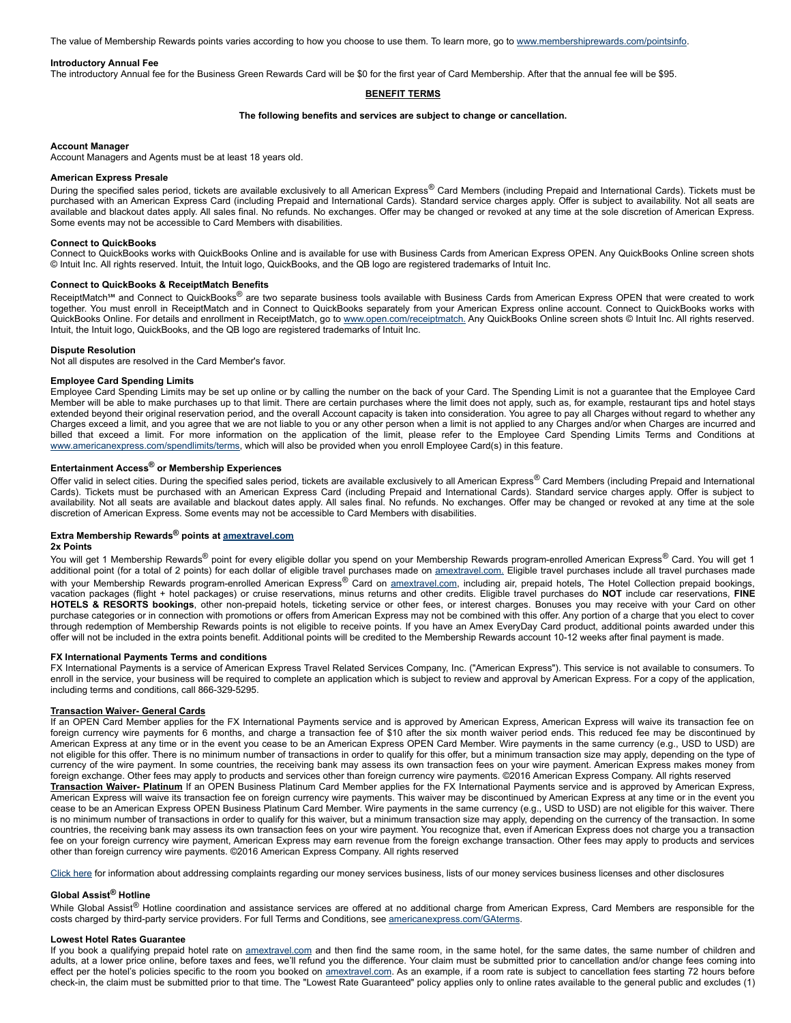The value of Membership Rewards points varies according to how you choose to use them. To learn more, go to [www.membershiprewards.com/pointsinfo.](http://www.membershiprewards.com/pointsinfo)

### **Introductory Annual Fee**

The introductory Annual fee for the Business Green Rewards Card will be \$0 for the first year of Card Membership. After that the annual fee will be \$95.

# **BENEFIT TERMS**

#### **The following benefits and services are subject to change or cancellation.**

### **Account Manager**

Account Managers and Agents must be at least 18 years old.

# **American Express Presale**

During the specified sales period, tickets are available exclusively to all American Express® Card Members (including Prepaid and International Cards). Tickets must be purchased with an American Express Card (including Prepaid and International Cards). Standard service charges apply. Offer is subject to availability. Not all seats are available and blackout dates apply. All sales final. No refunds. No exchanges. Offer may be changed or revoked at any time at the sole discretion of American Express. Some events may not be accessible to Card Members with disabilities.

#### **Connect to QuickBooks**

Connect to QuickBooks works with QuickBooks Online and is available for use with Business Cards from American Express OPEN. Any QuickBooks Online screen shots © Intuit Inc. All rights reserved. Intuit, the Intuit logo, QuickBooks, and the QB logo are registered trademarks of Intuit Inc.

# **Connect to QuickBooks & ReceiptMatch Benefits**

ReceiptMatch<sup>5M</sup> and Connect to QuickBooks® are two separate business tools available with Business Cards from American Express OPEN that were created to work together. You must enroll in ReceiptMatch and in Connect to QuickBooks separately from your American Express online account. Connect to QuickBooks works with QuickBooks Online. For details and enrollment in ReceiptMatch, go to [www.open.com/receiptmatch.](https://www.open.com/receiptmatch) Any QuickBooks Online screen shots © Intuit Inc. All rights reserved. Intuit, the Intuit logo, QuickBooks, and the QB logo are registered trademarks of Intuit Inc.

#### **Dispute Resolution**

Not all disputes are resolved in the Card Member's favor.

### **Employee Card Spending Limits**

Employee Card Spending Limits may be set up online or by calling the number on the back of your Card. The Spending Limit is not a guarantee that the Employee Card Member will be able to make purchases up to that limit. There are certain purchases where the limit does not apply, such as, for example, restaurant tips and hotel stays extended beyond their original reservation period, and the overall Account capacity is taken into consideration. You agree to pay all Charges without regard to whether any Charges exceed a limit, and you agree that we are not liable to you or any other person when a limit is not applied to any Charges and/or when Charges are incurred and billed that exceed a limit. For more information on the application of the limit, please refer to the Employee Card Spending Limits Terms and Conditions at [www.americanexpress.com/spendlimits/terms,](http://www.americanexpress.com/spendlimits/terms) which will also be provided when you enroll Employee Card(s) in this feature.

# **Entertainment Access® or Membership Experiences**

Offer valid in select cities. During the specified sales period, tickets are available exclusively to all American Express® Card Members (including Prepaid and International Cards). Tickets must be purchased with an American Express Card (including Prepaid and International Cards). Standard service charges apply. Offer is subject to availability. Not all seats are available and blackout dates apply. All sales final. No refunds. No exchanges. Offer may be changed or revoked at any time at the sole discretion of American Express. Some events may not be accessible to Card Members with disabilities.

# **Extra Membership Rewards® points at [amextravel.com](http://amextravel.com/)**

## **2x Points**

You will get 1 Membership Rewards® point for every eligible dollar you spend on your Membership Rewards program-enrolled American Express® Card. You will get 1 additional point (for a total of 2 points) for each dollar of eligible travel purchases made on [amextravel.com.](http://amextravel.com/) Eligible travel purchases include all travel purchases made with your Membership Rewards program-enrolled American Express® Card on [amextravel.com,](http://amextravel.com/) including air, prepaid hotels, The Hotel Collection prepaid bookings, vacation packages (flight + hotel packages) or cruise reservations, minus returns and other credits. Eligible travel purchases do **NOT** include car reservations, **FINE** HOTELS & RESORTS bookings, other non-prepaid hotels, ticketing service or other fees, or interest charges. Bonuses you may receive with your Card on other purchase categories or in connection with promotions or offers from American Express may not be combined with this offer. Any portion of a charge that you elect to cover through redemption of Membership Rewards points is not eligible to receive points. If you have an Amex EveryDay Card product, additional points awarded under this offer will not be included in the extra points benefit. Additional points will be credited to the Membership Rewards account 10-12 weeks after final payment is made.

### **FX International Payments Terms and conditions**

FX International Payments is a service of American Express Travel Related Services Company, Inc. ("American Express"). This service is not available to consumers. To enroll in the service, your business will be required to complete an application which is subject to review and approval by American Express. For a copy of the application, including terms and conditions, call 866-329-5295.

#### **Transaction Waiver General Cards**

If an OPEN Card Member applies for the FX International Payments service and is approved by American Express, American Express will waive its transaction fee on foreign currency wire payments for 6 months, and charge a transaction fee of \$10 after the six month waiver period ends. This reduced fee may be discontinued by American Express at any time or in the event you cease to be an American Express OPEN Card Member. Wire payments in the same currency (e.g., USD to USD) are not eligible for this offer. There is no minimum number of transactions in order to qualify for this offer, but a minimum transaction size may apply, depending on the type of currency of the wire payment. In some countries, the receiving bank may assess its own transaction fees on your wire payment. American Express makes money from foreign exchange. Other fees may apply to products and services other than foreign currency wire payments. ©2016 American Express Company. All rights reserved **Transaction Waiver Platinum** If an OPEN Business Platinum Card Member applies for the FX International Payments service and is approved by American Express, American Express will waive its transaction fee on foreign currency wire payments. This waiver may be discontinued by American Express at any time or in the event you cease to be an American Express OPEN Business Platinum Card Member. Wire payments in the same currency (e.g., USD to USD) are not eligible for this waiver. There is no minimum number of transactions in order to qualify for this waiver, but a minimum transaction size may apply, depending on the currency of the transaction. In some countries, the receiving bank may assess its own transaction fees on your wire payment. You recognize that, even if American Express does not charge you a transaction fee on your foreign currency wire payment, American Express may earn revenue from the foreign exchange transaction. Other fees may apply to products and services other than foreign currency wire payments. ©2016 American Express Company. All rights reserved

[Click](https://www.americanexpress.com/us/content/prepaid/state-licensing.html?vgnextchannel=95ddb81e8482a110VgnVCM100000defaad94RCRD&appinstancename=default) here for information about addressing complaints regarding our money services business, lists of our money services business licenses and other disclosures

# **Global Assist® Hotline**

While Global Assist® Hotline coordination and assistance services are offered at no additional charge from American Express, Card Members are responsible for the costs charged by third-party service providers. For full Terms and Conditions, see [americanexpress.com/GAterms](http://americanexpress.com/GAterms).

#### **Lowest Hotel Rates Guarantee**

If you book a qualifying prepaid hotel rate on [amextravel.com](http://www.amextravel.com/) and then find the same room, in the same hotel, for the same dates, the same number of children and adults, at a lower price online, before taxes and fees, we'll refund you the difference. Your claim must be submitted prior to cancellation and/or change fees coming into effect per the hotel's policies specific to the room you booked on [amextravel.com](http://www.amextravel.com/). As an example, if a room rate is subject to cancellation fees starting 72 hours before checkin, the claim must be submitted prior to that time. The "Lowest Rate Guaranteed" policy applies only to online rates available to the general public and excludes (1)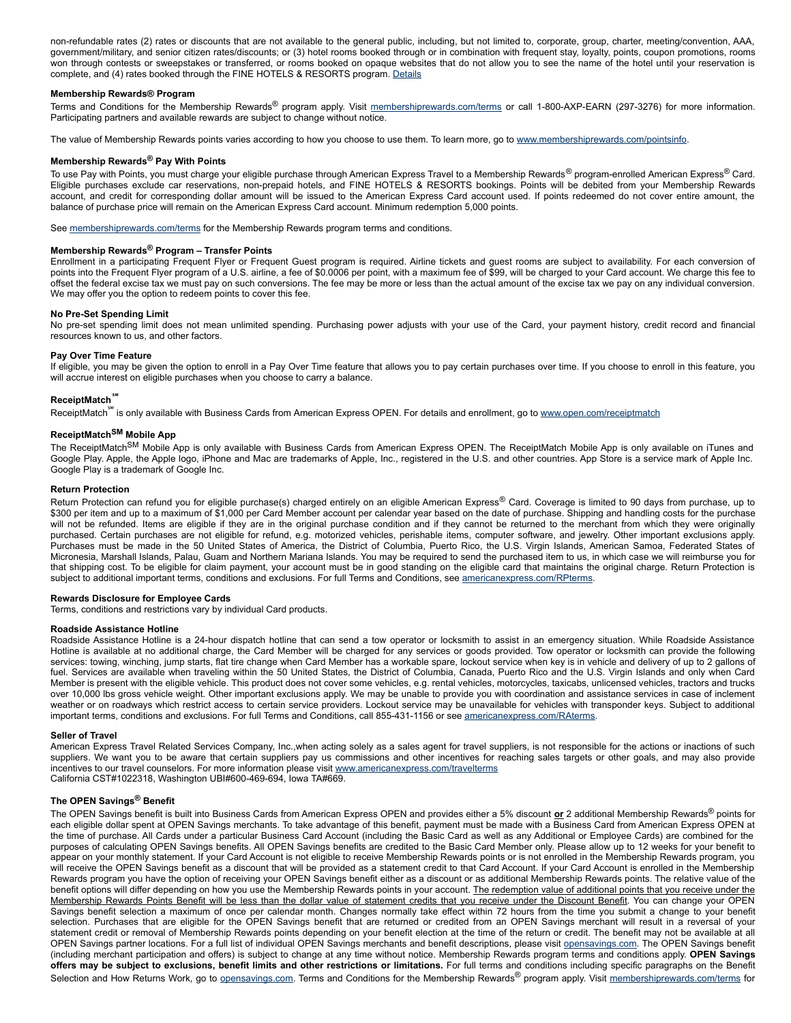non-refundable rates (2) rates or discounts that are not available to the general public, including, but not limited to, corporate, group, charter, meeting/convention, AAA, government/military, and senior citizen rates/discounts; or (3) hotel rooms booked through or in combination with frequent stay, loyalty, points, coupon promotions, rooms won through contests or sweepstakes or transferred, or rooms booked on opaque websites that do not allow you to see the name of the hotel until your reservation is complete, and (4) rates booked through the FINE HOTELS & RESORTS program. [Details](https://faq.amextravel.com/app/answers/detail/a_id/20215/kw/guarantee)

# **Membership Rewards® Program**

Terms and Conditions for the Membership Rewards® program apply. Visit [membershiprewards.com/terms](http://www.membershiprewards.com/terms) or call 1-800-AXP-EARN (297-3276) for more information. Participating partners and available rewards are subject to change without notice.

The value of Membership Rewards points varies according to how you choose to use them. To learn more, go to [www.membershiprewards.com/pointsinfo.](http://www.membershiprewards.com/pointsinfo)

# **Membership Rewards® Pay With Points**

To use Pay with Points, you must charge your eligible purchase through American Express Travel to a Membership Rewards<sup>®</sup> program-enrolled American Express<sup>®</sup> Card. Eligible purchases exclude car reservations, non-prepaid hotels, and FINE HOTELS & RESORTS bookings. Points will be debited from your Membership Rewards account, and credit for corresponding dollar amount will be issued to the American Express Card account used. If points redeemed do not cover entire amount, the balance of purchase price will remain on the American Express Card account. Minimum redemption 5,000 points.

See [membershiprewards.com/terms](https://www.membershiprewards.com/terms) for the Membership Rewards program terms and conditions.

# **Membership Rewards® Program – Transfer Points**

Enrollment in a participating Frequent Flyer or Frequent Guest program is required. Airline tickets and guest rooms are subject to availability. For each conversion of points into the Frequent Flyer program of a U.S. airline, a fee of \$0.0006 per point, with a maximum fee of \$99, will be charged to your Card account. We charge this fee to offset the federal excise tax we must pay on such conversions. The fee may be more or less than the actual amount of the excise tax we pay on any individual conversion. We may offer you the option to redeem points to cover this fee.

### **No Pre-Set Spending Limit**

No pre-set spending limit does not mean unlimited spending. Purchasing power adjusts with your use of the Card, your payment history, credit record and financial resources known to us, and other factors.

#### **Pay Over Time Feature**

If eligible, you may be given the option to enroll in a Pay Over Time feature that allows you to pay certain purchases over time. If you choose to enroll in this feature, you will accrue interest on eligible purchases when you choose to carry a balance.

### **ReceiptMatch℠**

ReceiptMatch<sup>™</sup> is only available with Business Cards from American Express OPEN. For details and enrollment, go to [www.open.com/receiptmatch](http://www.open.com/receiptmatch)

# **ReceiptMatch SM Mobile App**

The ReceiptMatch<sup>SM</sup> Mobile App is only available with Business Cards from American Express OPEN. The ReceiptMatch Mobile App is only available on iTunes and Google Play. Apple, the Apple logo, iPhone and Mac are trademarks of Apple, Inc., registered in the U.S. and other countries. App Store is a service mark of Apple Inc. Google Play is a trademark of Google Inc.

## **Return Protection**

Return Protection can refund you for eligible purchase(s) charged entirely on an eligible American Express® Card. Coverage is limited to 90 days from purchase, up to \$300 per item and up to a maximum of \$1,000 per Card Member account per calendar year based on the date of purchase. Shipping and handling costs for the purchase will not be refunded. Items are eligible if they are in the original purchase condition and if they cannot be returned to the merchant from which they were originally purchased. Certain purchases are not eligible for refund, e.g. motorized vehicles, perishable items, computer software, and jewelry. Other important exclusions apply. Purchases must be made in the 50 United States of America, the District of Columbia, Puerto Rico, the U.S. Virgin Islands, American Samoa, Federated States of Micronesia, Marshall Islands, Palau, Guam and Northern Mariana Islands. You may be required to send the purchased item to us, in which case we will reimburse you for that shipping cost. To be eligible for claim payment, your account must be in good standing on the eligible card that maintains the original charge. Return Protection is subject to additional important terms, conditions and exclusions. For full Terms and Conditions, see [americanexpress.com/RPterms.](http://www.americanexpress.com/RPterms)

# **Rewards Disclosure for Employee Cards**

Terms, conditions and restrictions vary by individual Card products.

### **Roadside Assistance Hotline**

Roadside Assistance Hotline is a 24hour dispatch hotline that can send a tow operator or locksmith to assist in an emergency situation. While Roadside Assistance Hotline is available at no additional charge, the Card Member will be charged for any services or goods provided. Tow operator or locksmith can provide the following services: towing, winching, jump starts, flat tire change when Card Member has a workable spare, lockout service when key is in vehicle and delivery of up to 2 gallons of fuel. Services are available when traveling within the 50 United States, the District of Columbia, Canada, Puerto Rico and the U.S. Virgin Islands and only when Card Member is present with the eligible vehicle. This product does not cover some vehicles, e.g. rental vehicles, motorcycles, taxicabs, unlicensed vehicles, tractors and trucks over 10,000 lbs gross vehicle weight. Other important exclusions apply. We may be unable to provide you with coordination and assistance services in case of inclement weather or on roadways which restrict access to certain service providers. Lockout service may be unavailable for vehicles with transponder keys. Subject to additional important terms, conditions and exclusions. For full Terms and Conditions, call 855-431-1156 or see [americanexpress.com/RAterms.](http://www.americanexpress.com/RAterms)

### **Seller of Travel**

American Express Travel Related Services Company, Inc.,when acting solely as a sales agent for travel suppliers, is not responsible for the actions or inactions of such suppliers. We want you to be aware that certain suppliers pay us commissions and other incentives for reaching sales targets or other goals, and may also provide incentives to our travel counselors. For more information please visit [www.americanexpress.com/travelterms](http://www.americanexpress.com/travelterms) California CST#1022318, Washington UBI#600-469-694, Iowa TA#669.

# **The OPEN Savings® Benefit**

The OPEN Savings benefit is built into Business Cards from American Express OPEN and provides either a 5% discount **or** 2 additional Membership Rewards® points for each eligible dollar spent at OPEN Savings merchants. To take advantage of this benefit, payment must be made with a Business Card from American Express OPEN at the time of purchase. All Cards under a particular Business Card Account (including the Basic Card as well as any Additional or Employee Cards) are combined for the purposes of calculating OPEN Savings benefits. All OPEN Savings benefits are credited to the Basic Card Member only. Please allow up to 12 weeks for your benefit to appear on your monthly statement. If your Card Account is not eligible to receive Membership Rewards points or is not enrolled in the Membership Rewards program, you will receive the OPEN Savings benefit as a discount that will be provided as a statement credit to that Card Account. If your Card Account is enrolled in the Membership Rewards program you have the option of receiving your OPEN Savings benefit either as a discount or as additional Membership Rewards points. The relative value of the benefit options will differ depending on how you use the Membership Rewards points in your account. The redemption value of additional points that you receive under the Membership Rewards Points Benefit will be less than the dollar value of statement credits that you receive under the Discount Benefit. You can change your OPEN Savings benefit selection a maximum of once per calendar month. Changes normally take effect within 72 hours from the time you submit a change to your benefit selection. Purchases that are eligible for the OPEN Savings benefit that are returned or credited from an OPEN Savings merchant will result in a reversal of your statement credit or removal of Membership Rewards points depending on your benefit election at the time of the return or credit. The benefit may not be available at all OPEN Savings partner locations. For a full list of individual OPEN Savings merchants and benefit descriptions, please visit [opensavings.com.](http://www.opensavings.com/) The OPEN Savings benefit (including merchant participation and offers) is subject to change at any time without notice. Membership Rewards program terms and conditions apply. **OPEN Savings** offers may be subject to exclusions, benefit limits and other restrictions or limitations. For full terms and conditions including specific paragraphs on the Benefit Selection and How Returns Work, go to [opensavings.com.](http://www.opensavings.com/) Terms and Conditions for the Membership Rewards® program apply. Visit [membershiprewards.com/terms](http://www.membershiprewards.com/terms) for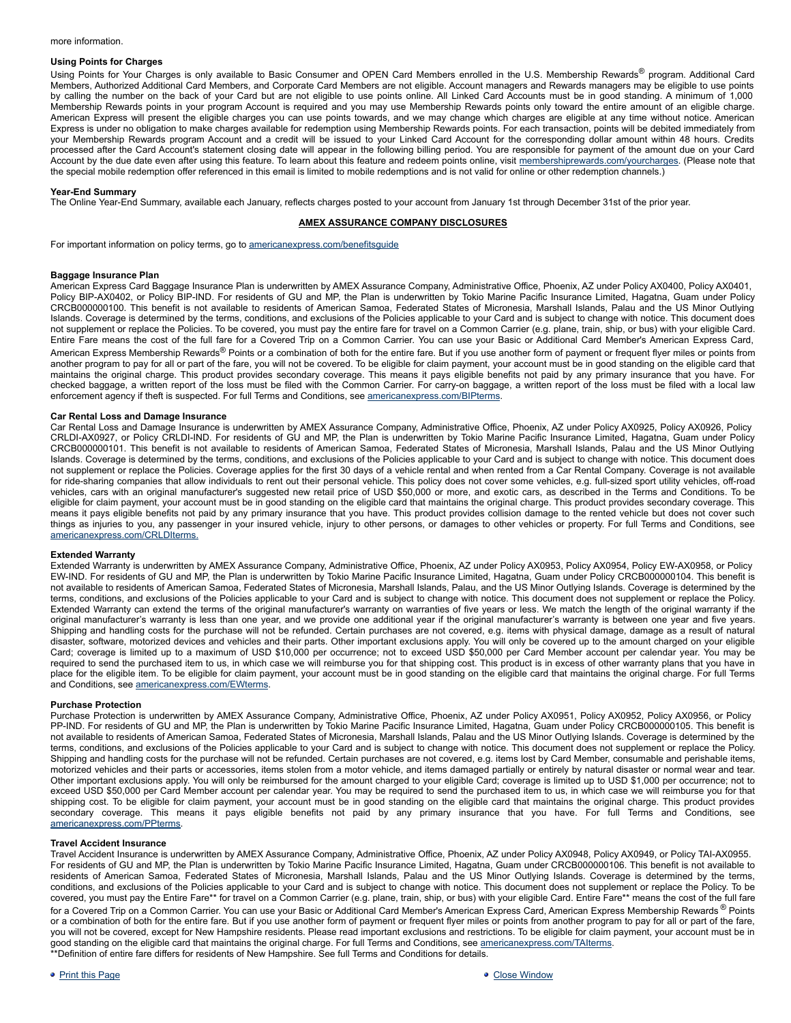# **Using Points for Charges**

Using Points for Your Charges is only available to Basic Consumer and OPEN Card Members enrolled in the U.S. Membership Rewards® program. Additional Card Members, Authorized Additional Card Members, and Corporate Card Members are not eligible. Account managers and Rewards managers may be eligible to use points by calling the number on the back of your Card but are not eligible to use points online. All Linked Card Accounts must be in good standing. A minimum of 1,000 Membership Rewards points in your program Account is required and you may use Membership Rewards points only toward the entire amount of an eligible charge. American Express will present the eligible charges you can use points towards, and we may change which charges are eligible at any time without notice. American Express is under no obligation to make charges available for redemption using Membership Rewards points. For each transaction, points will be debited immediately from your Membership Rewards program Account and a credit will be issued to your Linked Card Account for the corresponding dollar amount within 48 hours. Credits processed after the Card Account's statement closing date will appear in the following billing period. You are responsible for payment of the amount due on your Card Account by the due date even after using this feature. To learn about this feature and redeem points online, visit [membershiprewards.com/yourcharges](http://membershiprewards.com/yourcharges). (Please note that the special mobile redemption offer referenced in this email is limited to mobile redemptions and is not valid for online or other redemption channels.)

# **Year-End Summary**

The Online Year-End Summary, available each January, reflects charges posted to your account from January 1st through December 31st of the prior year.

## **AMEX ASSURANCE COMPANY DISCLOSURES**

For important information on policy terms, go to [americanexpress.com/benefitsguide](http://www.americanexpress.com/benefitsguide)

#### **Baggage Insurance Plan**

American Express Card Baggage Insurance Plan is underwritten by AMEX Assurance Company, Administrative Office, Phoenix, AZ under Policy AX0400, Policy AX0401, Policy BIP-AX0402, or Policy BIP-IND. For residents of GU and MP, the Plan is underwritten by Tokio Marine Pacific Insurance Limited, Hagatna, Guam under Policy CRCB000000100. This benefit is not available to residents of American Samoa, Federated States of Micronesia, Marshall Islands, Palau and the US Minor Outlying Islands. Coverage is determined by the terms, conditions, and exclusions of the Policies applicable to your Card and is subject to change with notice. This document does not supplement or replace the Policies. To be covered, you must pay the entire fare for travel on a Common Carrier (e.g. plane, train, ship, or bus) with your eligible Card. Entire Fare means the cost of the full fare for a Covered Trip on a Common Carrier. You can use your Basic or Additional Card Member's American Express Card, American Express Membership Rewards® Points or a combination of both for the entire fare. But if you use another form of payment or frequent flyer miles or points from another program to pay for all or part of the fare, you will not be covered. To be eligible for claim payment, your account must be in good standing on the eligible card that maintains the original charge. This product provides secondary coverage. This means it pays eligible benefits not paid by any primary insurance that you have. For checked baggage, a written report of the loss must be filed with the Common Carrier. For carryon baggage, a written report of the loss must be filed with a local law enforcement agency if theft is suspected. For full Terms and Conditions, see [americanexpress.com/BIPterms](http://www.americanexpress.com/BIPterms).

#### **Car Rental Loss and Damage Insurance**

Car Rental Loss and Damage Insurance is underwritten by AMEX Assurance Company, Administrative Office, Phoenix, AZ under Policy AX0925, Policy AX0926, Policy CRLDIAX0927, or Policy CRLDIIND. For residents of GU and MP, the Plan is underwritten by Tokio Marine Pacific Insurance Limited, Hagatna, Guam under Policy CRCB000000101. This benefit is not available to residents of American Samoa, Federated States of Micronesia, Marshall Islands, Palau and the US Minor Outlying Islands. Coverage is determined by the terms, conditions, and exclusions of the Policies applicable to your Card and is subject to change with notice. This document does not supplement or replace the Policies. Coverage applies for the first 30 days of a vehicle rental and when rented from a Car Rental Company. Coverage is not available for ride-sharing companies that allow individuals to rent out their personal vehicle. This policy does not cover some vehicles, e.g. full-sized sport utility vehicles, off-road vehicles, cars with an original manufacturer's suggested new retail price of USD \$50,000 or more, and exotic cars, as described in the Terms and Conditions. To be eligible for claim payment, your account must be in good standing on the eligible card that maintains the original charge. This product provides secondary coverage. This means it pays eligible benefits not paid by any primary insurance that you have. This product provides collision damage to the rented vehicle but does not cover such things as injuries to you, any passenger in your insured vehicle, injury to other persons, or damages to other vehicles or property. For full Terms and Conditions, see [americanexpress.com/CRLDIterms.](http://www.americanexpress.com/CRLDIterms)

# **Extended Warranty**

Extended Warranty is underwritten by AMEX Assurance Company, Administrative Office, Phoenix, AZ under Policy AX0953, Policy AX0954, Policy EWAX0958, or Policy EWIND. For residents of GU and MP, the Plan is underwritten by Tokio Marine Pacific Insurance Limited, Hagatna, Guam under Policy CRCB000000104. This benefit is not available to residents of American Samoa, Federated States of Micronesia, Marshall Islands, Palau, and the US Minor Outlying Islands. Coverage is determined by the terms, conditions, and exclusions of the Policies applicable to your Card and is subject to change with notice. This document does not supplement or replace the Policy. Extended Warranty can extend the terms of the original manufacturer's warranty on warranties of five years or less. We match the length of the original warranty if the original manufacturer's warranty is less than one year, and we provide one additional year if the original manufacturer's warranty is between one year and five years. Shipping and handling costs for the purchase will not be refunded. Certain purchases are not covered, e.g. items with physical damage, damage as a result of natural disaster, software, motorized devices and vehicles and their parts. Other important exclusions apply. You will only be covered up to the amount charged on your eligible Card; coverage is limited up to a maximum of USD \$10,000 per occurrence; not to exceed USD \$50,000 per Card Member account per calendar year. You may be required to send the purchased item to us, in which case we will reimburse you for that shipping cost. This product is in excess of other warranty plans that you have in place for the eligible item. To be eligible for claim payment, your account must be in good standing on the eligible card that maintains the original charge. For full Terms and Conditions, see [americanexpress.com/EWterms.](https://www.americanexpress.com/EWterms)

#### **Purchase Protection**

Purchase Protection is underwritten by AMEX Assurance Company, Administrative Office, Phoenix, AZ under Policy AX0951, Policy AX0952, Policy AX0956, or Policy PP-IND. For residents of GU and MP, the Plan is underwritten by Tokio Marine Pacific Insurance Limited, Hagatna, Guam under Policy CRCB000000105. This benefit is not available to residents of American Samoa, Federated States of Micronesia, Marshall Islands, Palau and the US Minor Outlying Islands. Coverage is determined by the terms, conditions, and exclusions of the Policies applicable to your Card and is subject to change with notice. This document does not supplement or replace the Policy. Shipping and handling costs for the purchase will not be refunded. Certain purchases are not covered, e.g. items lost by Card Member, consumable and perishable items, motorized vehicles and their parts or accessories, items stolen from a motor vehicle, and items damaged partially or entirely by natural disaster or normal wear and tear. Other important exclusions apply. You will only be reimbursed for the amount charged to your eligible Card; coverage is limited up to USD \$1,000 per occurrence; not to exceed USD \$50,000 per Card Member account per calendar year. You may be required to send the purchased item to us, in which case we will reimburse you for that shipping cost. To be eligible for claim payment, your account must be in good standing on the eligible card that maintains the original charge. This product provides secondary coverage. This means it pays eligible benefits not paid by any primary insurance that you have. For full Terms and Conditions, see [americanexpress.com/PPterms.](http://www.americanexpress.com/PPterms)

#### **Travel Accident Insurance**

Travel Accident Insurance is underwritten by AMEX Assurance Company, Administrative Office, Phoenix, AZ under Policy AX0948, Policy AX0949, or Policy TAIAX0955. For residents of GU and MP, the Plan is underwritten by Tokio Marine Pacific Insurance Limited, Hagatna, Guam under CRCB000000106. This benefit is not available to residents of American Samoa, Federated States of Micronesia, Marshall Islands, Palau and the US Minor Outlying Islands. Coverage is determined by the terms, conditions, and exclusions of the Policies applicable to your Card and is subject to change with notice. This document does not supplement or replace the Policy. To be covered, you must pay the Entire Fare\*\* for travel on a Common Carrier (e.g. plane, train, ship, or bus) with your eligible Card. Entire Fare\*\* means the cost of the full fare for a Covered Trip on a Common Carrier. You can use your Basic or Additional Card Member's American Express Card, American Express Membership Rewards ® Points or a combination of both for the entire fare. But if you use another form of payment or frequent flyer miles or points from another program to pay for all or part of the fare, you will not be covered, except for New Hampshire residents. Please read important exclusions and restrictions. To be eligible for claim payment, your account must be in good standing on the eligible card that maintains the original charge. For full Terms and Conditions, see [americanexpress.com/TAIterms.](http://www.americanexpress.com/TAIterms) \*\*Definition of entire fare differs for residents of New Hampshire. See full Terms and Conditions for details.